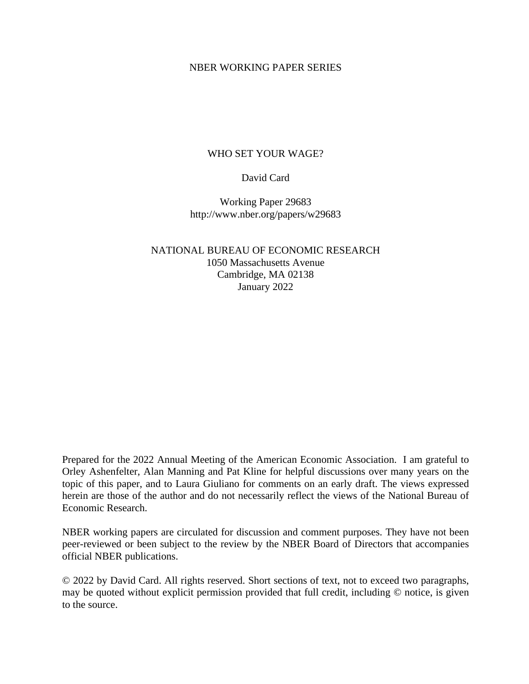## NBER WORKING PAPER SERIES

# WHO SET YOUR WAGE?

## David Card

Working Paper 29683 http://www.nber.org/papers/w29683

NATIONAL BUREAU OF ECONOMIC RESEARCH 1050 Massachusetts Avenue Cambridge, MA 02138 January 2022

Prepared for the 2022 Annual Meeting of the American Economic Association. I am grateful to Orley Ashenfelter, Alan Manning and Pat Kline for helpful discussions over many years on the topic of this paper, and to Laura Giuliano for comments on an early draft. The views expressed herein are those of the author and do not necessarily reflect the views of the National Bureau of Economic Research.

NBER working papers are circulated for discussion and comment purposes. They have not been peer-reviewed or been subject to the review by the NBER Board of Directors that accompanies official NBER publications.

© 2022 by David Card. All rights reserved. Short sections of text, not to exceed two paragraphs, may be quoted without explicit permission provided that full credit, including © notice, is given to the source.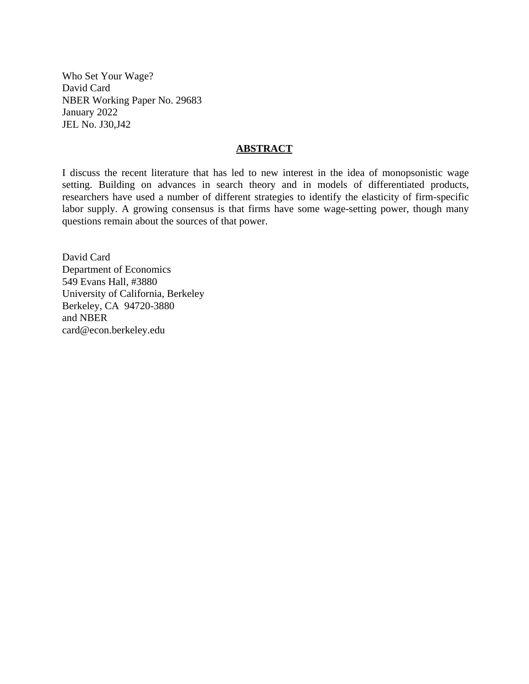Who Set Your Wage? David Card NBER Working Paper No. 29683 January 2022 JEL No. J30,J42

## **ABSTRACT**

I discuss the recent literature that has led to new interest in the idea of monopsonistic wage setting. Building on advances in search theory and in models of differentiated products, researchers have used a number of different strategies to identify the elasticity of firm-specific labor supply. A growing consensus is that firms have some wage-setting power, though many questions remain about the sources of that power.

David Card Department of Economics 549 Evans Hall, #3880 University of California, Berkeley Berkeley, CA 94720-3880 and NBER card@econ.berkeley.edu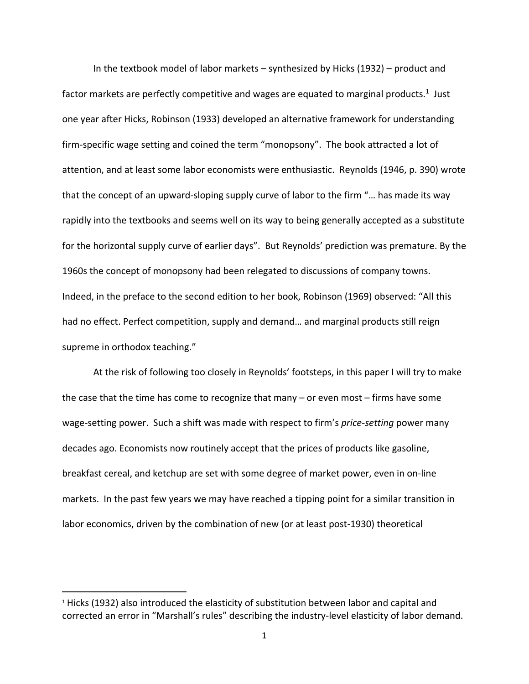In the textbook model of labor markets – synthesized by Hicks (1932) – product and factor markets are perfectly competitive and wages are equated to marginal products.<sup>1</sup> Just one year after Hicks, Robinson (1933) developed an alternative framework for understanding firm-specific wage setting and coined the term "monopsony". The book attracted a lot of attention, and at least some labor economists were enthusiastic. Reynolds (1946, p. 390) wrote that the concept of an upward‐sloping supply curve of labor to the firm "… has made its way rapidly into the textbooks and seems well on its way to being generally accepted as a substitute for the horizontal supply curve of earlier days". But Reynolds' prediction was premature. By the 1960s the concept of monopsony had been relegated to discussions of company towns. Indeed, in the preface to the second edition to her book, Robinson (1969) observed: "All this had no effect. Perfect competition, supply and demand… and marginal products still reign supreme in orthodox teaching."

At the risk of following too closely in Reynolds' footsteps, in this paper I will try to make the case that the time has come to recognize that many – or even most – firms have some wage‐setting power. Such a shift was made with respect to firm's *price‐setting* power many decades ago. Economists now routinely accept that the prices of products like gasoline, breakfast cereal, and ketchup are set with some degree of market power, even in on‐line markets. In the past few years we may have reached a tipping point for a similar transition in labor economics, driven by the combination of new (or at least post‐1930) theoretical

<sup>&</sup>lt;sup>1</sup> Hicks (1932) also introduced the elasticity of substitution between labor and capital and corrected an error in "Marshall's rules" describing the industry‐level elasticity of labor demand.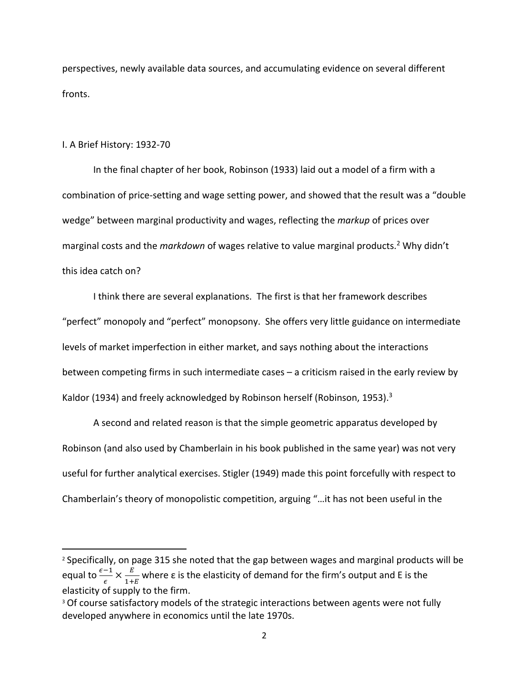perspectives, newly available data sources, and accumulating evidence on several different fronts.

## I. A Brief History: 1932‐70

In the final chapter of her book, Robinson (1933) laid out a model of a firm with a combination of price‐setting and wage setting power, and showed that the result was a "double wedge" between marginal productivity and wages, reflecting the *markup* of prices over marginal costs and the *markdown* of wages relative to value marginal products.2 Why didn't this idea catch on?

I think there are several explanations. The first is that her framework describes "perfect" monopoly and "perfect" monopsony. She offers very little guidance on intermediate levels of market imperfection in either market, and says nothing about the interactions between competing firms in such intermediate cases – a criticism raised in the early review by Kaldor (1934) and freely acknowledged by Robinson herself (Robinson, 1953).<sup>3</sup>

A second and related reason is that the simple geometric apparatus developed by Robinson (and also used by Chamberlain in his book published in the same year) was not very useful for further analytical exercises. Stigler (1949) made this point forcefully with respect to Chamberlain's theory of monopolistic competition, arguing "…it has not been useful in the

<sup>2</sup> Specifically, on page 315 she noted that the gap between wages and marginal products will be equal to  $\frac{\epsilon-1}{\epsilon} \times \frac{E}{1+}$  $\frac{E}{1+E}$  where  $\varepsilon$  is the elasticity of demand for the firm's output and E is the elasticity of supply to the firm.

<sup>&</sup>lt;sup>3</sup> Of course satisfactory models of the strategic interactions between agents were not fully developed anywhere in economics until the late 1970s.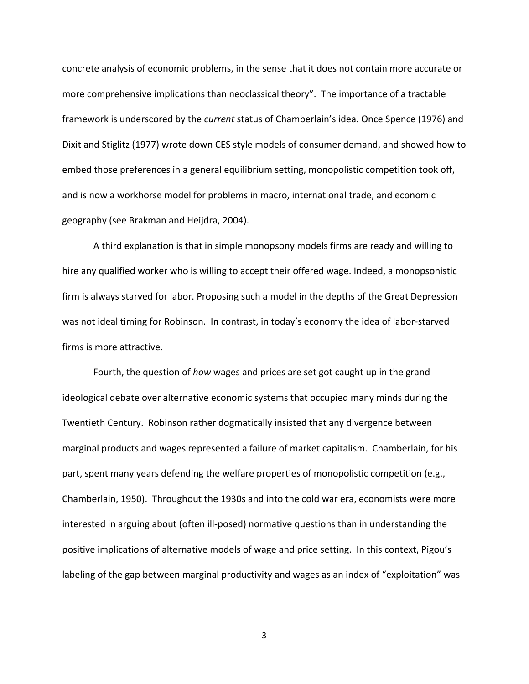concrete analysis of economic problems, in the sense that it does not contain more accurate or more comprehensive implications than neoclassical theory". The importance of a tractable framework is underscored by the *current* status of Chamberlain's idea. Once Spence (1976) and Dixit and Stiglitz (1977) wrote down CES style models of consumer demand, and showed how to embed those preferences in a general equilibrium setting, monopolistic competition took off, and is now a workhorse model for problems in macro, international trade, and economic geography (see Brakman and Heijdra, 2004).

A third explanation is that in simple monopsony models firms are ready and willing to hire any qualified worker who is willing to accept their offered wage. Indeed, a monopsonistic firm is always starved for labor. Proposing such a model in the depths of the Great Depression was not ideal timing for Robinson. In contrast, in today's economy the idea of labor-starved firms is more attractive.

Fourth, the question of *how* wages and prices are set got caught up in the grand ideological debate over alternative economic systems that occupied many minds during the Twentieth Century. Robinson rather dogmatically insisted that any divergence between marginal products and wages represented a failure of market capitalism. Chamberlain, for his part, spent many years defending the welfare properties of monopolistic competition (e.g., Chamberlain, 1950). Throughout the 1930s and into the cold war era, economists were more interested in arguing about (often ill-posed) normative questions than in understanding the positive implications of alternative models of wage and price setting. In this context, Pigou's labeling of the gap between marginal productivity and wages as an index of "exploitation" was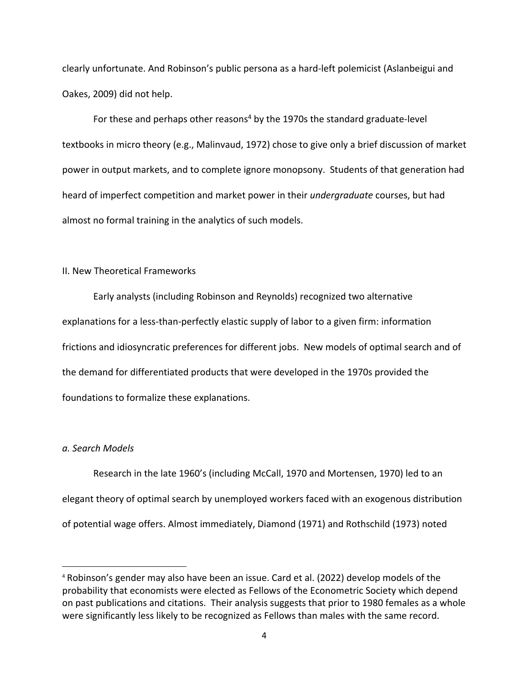clearly unfortunate. And Robinson's public persona as a hard‐left polemicist (Aslanbeigui and Oakes, 2009) did not help.

For these and perhaps other reasons<sup>4</sup> by the 1970s the standard graduate-level textbooks in micro theory (e.g., Malinvaud, 1972) chose to give only a brief discussion of market power in output markets, and to complete ignore monopsony. Students of that generation had heard of imperfect competition and market power in their *undergraduate* courses, but had almost no formal training in the analytics of such models.

### II. New Theoretical Frameworks

Early analysts (including Robinson and Reynolds) recognized two alternative explanations for a less‐than‐perfectly elastic supply of labor to a given firm: information frictions and idiosyncratic preferences for different jobs. New models of optimal search and of the demand for differentiated products that were developed in the 1970s provided the foundations to formalize these explanations.

## *a. Search Models*

Research in the late 1960's (including McCall, 1970 and Mortensen, 1970) led to an elegant theory of optimal search by unemployed workers faced with an exogenous distribution of potential wage offers. Almost immediately, Diamond (1971) and Rothschild (1973) noted

<sup>4</sup> Robinson's gender may also have been an issue. Card et al. (2022) develop models of the probability that economists were elected as Fellows of the Econometric Society which depend on past publications and citations. Their analysis suggests that prior to 1980 females as a whole were significantly less likely to be recognized as Fellows than males with the same record.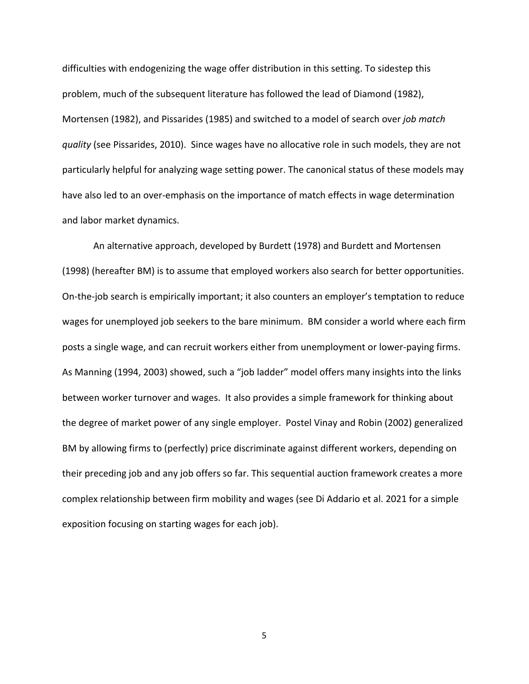difficulties with endogenizing the wage offer distribution in this setting. To sidestep this problem, much of the subsequent literature has followed the lead of Diamond (1982), Mortensen (1982), and Pissarides (1985) and switched to a model of search over *job match quality* (see Pissarides, 2010). Since wages have no allocative role in such models, they are not particularly helpful for analyzing wage setting power. The canonical status of these models may have also led to an over-emphasis on the importance of match effects in wage determination and labor market dynamics.

An alternative approach, developed by Burdett (1978) and Burdett and Mortensen (1998) (hereafter BM) is to assume that employed workers also search for better opportunities. On‐the‐job search is empirically important; it also counters an employer's temptation to reduce wages for unemployed job seekers to the bare minimum. BM consider a world where each firm posts a single wage, and can recruit workers either from unemployment or lower‐paying firms. As Manning (1994, 2003) showed, such a "job ladder" model offers many insights into the links between worker turnover and wages. It also provides a simple framework for thinking about the degree of market power of any single employer. Postel Vinay and Robin (2002) generalized BM by allowing firms to (perfectly) price discriminate against different workers, depending on their preceding job and any job offers so far. This sequential auction framework creates a more complex relationship between firm mobility and wages (see Di Addario et al. 2021 for a simple exposition focusing on starting wages for each job).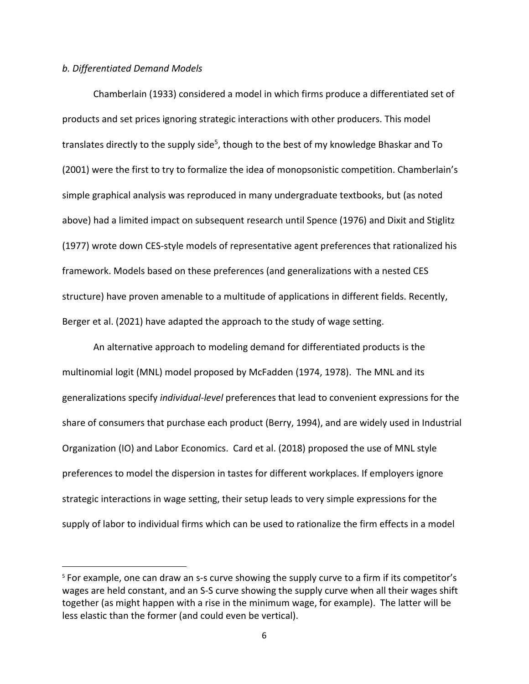### *b. Differentiated Demand Models*

Chamberlain (1933) considered a model in which firms produce a differentiated set of products and set prices ignoring strategic interactions with other producers. This model translates directly to the supply side<sup>5</sup>, though to the best of my knowledge Bhaskar and To (2001) were the first to try to formalize the idea of monopsonistic competition. Chamberlain's simple graphical analysis was reproduced in many undergraduate textbooks, but (as noted above) had a limited impact on subsequent research until Spence (1976) and Dixit and Stiglitz (1977) wrote down CES‐style models of representative agent preferences that rationalized his framework. Models based on these preferences (and generalizations with a nested CES structure) have proven amenable to a multitude of applications in different fields. Recently, Berger et al. (2021) have adapted the approach to the study of wage setting.

An alternative approach to modeling demand for differentiated products is the multinomial logit (MNL) model proposed by McFadden (1974, 1978). The MNL and its generalizations specify *individual‐level* preferences that lead to convenient expressions for the share of consumers that purchase each product (Berry, 1994), and are widely used in Industrial Organization (IO) and Labor Economics. Card et al. (2018) proposed the use of MNL style preferences to model the dispersion in tastes for different workplaces. If employers ignore strategic interactions in wage setting, their setup leads to very simple expressions for the supply of labor to individual firms which can be used to rationalize the firm effects in a model

<sup>&</sup>lt;sup>5</sup> For example, one can draw an s-s curve showing the supply curve to a firm if its competitor's wages are held constant, and an S-S curve showing the supply curve when all their wages shift together (as might happen with a rise in the minimum wage, for example). The latter will be less elastic than the former (and could even be vertical).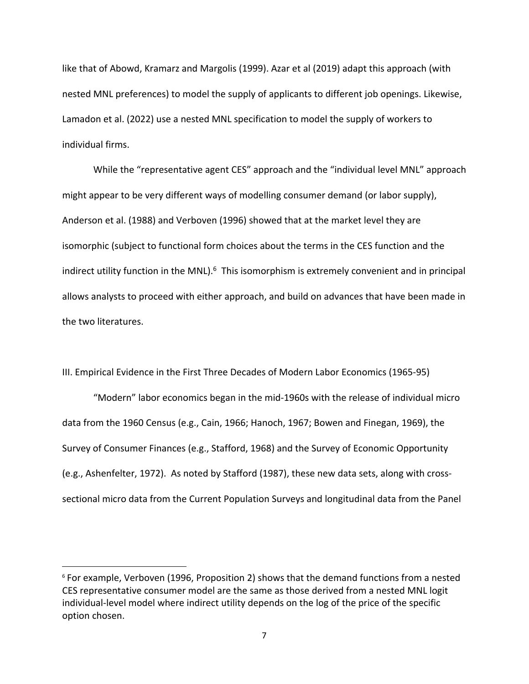like that of Abowd, Kramarz and Margolis (1999). Azar et al (2019) adapt this approach (with nested MNL preferences) to model the supply of applicants to different job openings. Likewise, Lamadon et al. (2022) use a nested MNL specification to model the supply of workers to individual firms.

While the "representative agent CES" approach and the "individual level MNL" approach might appear to be very different ways of modelling consumer demand (or labor supply), Anderson et al. (1988) and Verboven (1996) showed that at the market level they are isomorphic (subject to functional form choices about the terms in the CES function and the indirect utility function in the MNL).<sup>6</sup> This isomorphism is extremely convenient and in principal allows analysts to proceed with either approach, and build on advances that have been made in the two literatures.

III. Empirical Evidence in the First Three Decades of Modern Labor Economics (1965‐95)

"Modern" labor economics began in the mid‐1960s with the release of individual micro data from the 1960 Census (e.g., Cain, 1966; Hanoch, 1967; Bowen and Finegan, 1969), the Survey of Consumer Finances (e.g., Stafford, 1968) and the Survey of Economic Opportunity (e.g., Ashenfelter, 1972). As noted by Stafford (1987), these new data sets, along with cross‐ sectional micro data from the Current Population Surveys and longitudinal data from the Panel

<sup>6</sup> For example, Verboven (1996, Proposition 2) shows that the demand functions from a nested CES representative consumer model are the same as those derived from a nested MNL logit individual‐level model where indirect utility depends on the log of the price of the specific option chosen.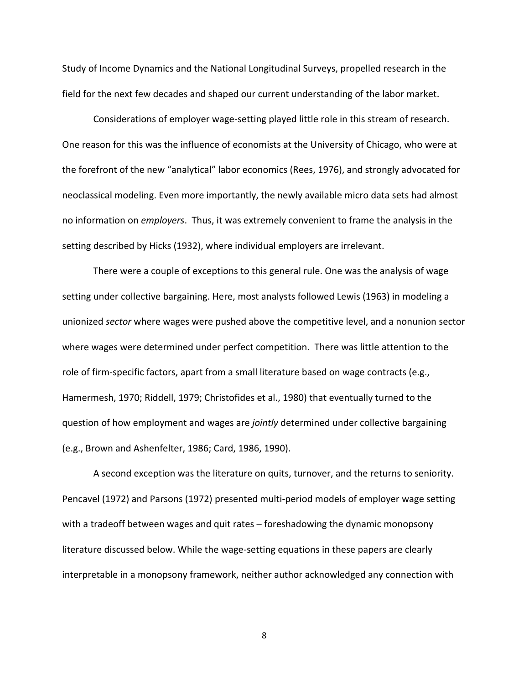Study of Income Dynamics and the National Longitudinal Surveys, propelled research in the field for the next few decades and shaped our current understanding of the labor market.

Considerations of employer wage‐setting played little role in this stream of research. One reason for this was the influence of economists at the University of Chicago, who were at the forefront of the new "analytical" labor economics (Rees, 1976), and strongly advocated for neoclassical modeling. Even more importantly, the newly available micro data sets had almost no information on *employers*. Thus, it was extremely convenient to frame the analysis in the setting described by Hicks (1932), where individual employers are irrelevant.

There were a couple of exceptions to this general rule. One was the analysis of wage setting under collective bargaining. Here, most analysts followed Lewis (1963) in modeling a unionized *sector* where wages were pushed above the competitive level, and a nonunion sector where wages were determined under perfect competition. There was little attention to the role of firm‐specific factors, apart from a small literature based on wage contracts (e.g., Hamermesh, 1970; Riddell, 1979; Christofides et al., 1980) that eventually turned to the question of how employment and wages are *jointly* determined under collective bargaining (e.g., Brown and Ashenfelter, 1986; Card, 1986, 1990).

A second exception was the literature on quits, turnover, and the returns to seniority. Pencavel (1972) and Parsons (1972) presented multi‐period models of employer wage setting with a tradeoff between wages and quit rates – foreshadowing the dynamic monopsony literature discussed below. While the wage‐setting equations in these papers are clearly interpretable in a monopsony framework, neither author acknowledged any connection with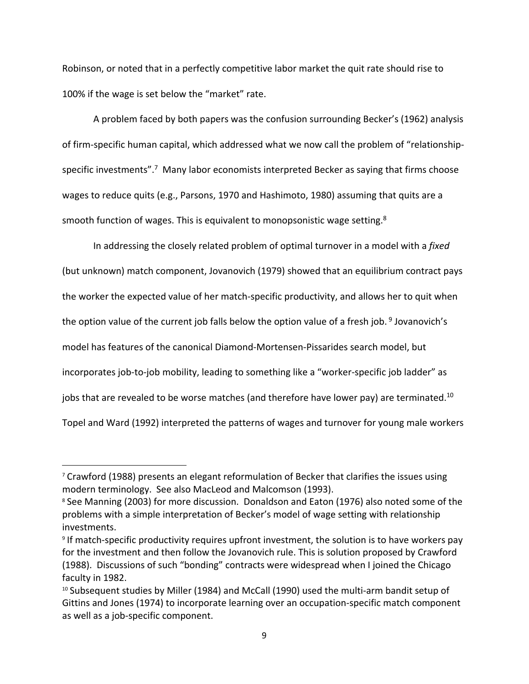Robinson, or noted that in a perfectly competitive labor market the quit rate should rise to 100% if the wage is set below the "market" rate.

A problem faced by both papers was the confusion surrounding Becker's (1962) analysis of firm‐specific human capital, which addressed what we now call the problem of "relationship‐ specific investments".<sup>7</sup> Many labor economists interpreted Becker as saying that firms choose wages to reduce quits (e.g., Parsons, 1970 and Hashimoto, 1980) assuming that quits are a smooth function of wages. This is equivalent to monopsonistic wage setting.<sup>8</sup>

In addressing the closely related problem of optimal turnover in a model with a *fixed* (but unknown) match component, Jovanovich (1979) showed that an equilibrium contract pays the worker the expected value of her match‐specific productivity, and allows her to quit when the option value of the current job falls below the option value of a fresh job.<sup>9</sup> Jovanovich's model has features of the canonical Diamond‐Mortensen‐Pissarides search model, but incorporates job-to-job mobility, leading to something like a "worker-specific job ladder" as jobs that are revealed to be worse matches (and therefore have lower pay) are terminated.<sup>10</sup> Topel and Ward (1992) interpreted the patterns of wages and turnover for young male workers

 $7$  Crawford (1988) presents an elegant reformulation of Becker that clarifies the issues using modern terminology. See also MacLeod and Malcomson (1993).

<sup>8</sup> See Manning (2003) for more discussion. Donaldson and Eaton (1976) also noted some of the problems with a simple interpretation of Becker's model of wage setting with relationship investments.

<sup>9</sup> If match‐specific productivity requires upfront investment, the solution is to have workers pay for the investment and then follow the Jovanovich rule. This is solution proposed by Crawford (1988). Discussions of such "bonding" contracts were widespread when I joined the Chicago faculty in 1982.

 $10$  Subsequent studies by Miller (1984) and McCall (1990) used the multi-arm bandit setup of Gittins and Jones (1974) to incorporate learning over an occupation‐specific match component as well as a job‐specific component.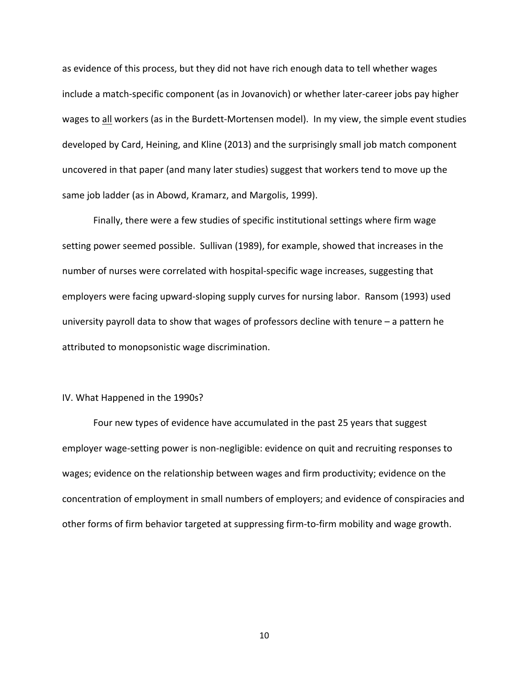as evidence of this process, but they did not have rich enough data to tell whether wages include a match-specific component (as in Jovanovich) or whether later-career jobs pay higher wages to all workers (as in the Burdett-Mortensen model). In my view, the simple event studies developed by Card, Heining, and Kline (2013) and the surprisingly small job match component uncovered in that paper (and many later studies) suggest that workers tend to move up the same job ladder (as in Abowd, Kramarz, and Margolis, 1999).

Finally, there were a few studies of specific institutional settings where firm wage setting power seemed possible. Sullivan (1989), for example, showed that increases in the number of nurses were correlated with hospital‐specific wage increases, suggesting that employers were facing upward‐sloping supply curves for nursing labor. Ransom (1993) used university payroll data to show that wages of professors decline with tenure – a pattern he attributed to monopsonistic wage discrimination.

#### IV. What Happened in the 1990s?

Four new types of evidence have accumulated in the past 25 years that suggest employer wage‐setting power is non‐negligible: evidence on quit and recruiting responses to wages; evidence on the relationship between wages and firm productivity; evidence on the concentration of employment in small numbers of employers; and evidence of conspiracies and other forms of firm behavior targeted at suppressing firm‐to‐firm mobility and wage growth.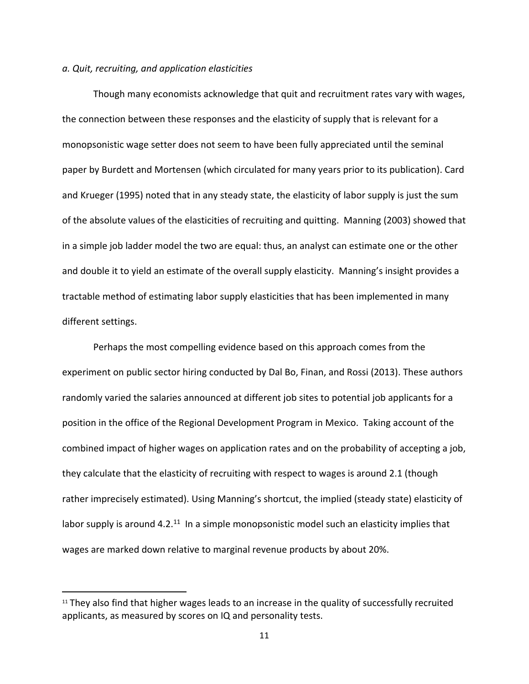### *a. Quit, recruiting, and application elasticities*

Though many economists acknowledge that quit and recruitment rates vary with wages, the connection between these responses and the elasticity of supply that is relevant for a monopsonistic wage setter does not seem to have been fully appreciated until the seminal paper by Burdett and Mortensen (which circulated for many years prior to its publication). Card and Krueger (1995) noted that in any steady state, the elasticity of labor supply is just the sum of the absolute values of the elasticities of recruiting and quitting. Manning (2003) showed that in a simple job ladder model the two are equal: thus, an analyst can estimate one or the other and double it to yield an estimate of the overall supply elasticity. Manning's insight provides a tractable method of estimating labor supply elasticities that has been implemented in many different settings.

Perhaps the most compelling evidence based on this approach comes from the experiment on public sector hiring conducted by Dal Bo, Finan, and Rossi (2013). These authors randomly varied the salaries announced at different job sites to potential job applicants for a position in the office of the Regional Development Program in Mexico. Taking account of the combined impact of higher wages on application rates and on the probability of accepting a job, they calculate that the elasticity of recruiting with respect to wages is around 2.1 (though rather imprecisely estimated). Using Manning's shortcut, the implied (steady state) elasticity of labor supply is around  $4.2^{11}$  In a simple monopsonistic model such an elasticity implies that wages are marked down relative to marginal revenue products by about 20%.

<sup>&</sup>lt;sup>11</sup> They also find that higher wages leads to an increase in the quality of successfully recruited applicants, as measured by scores on IQ and personality tests.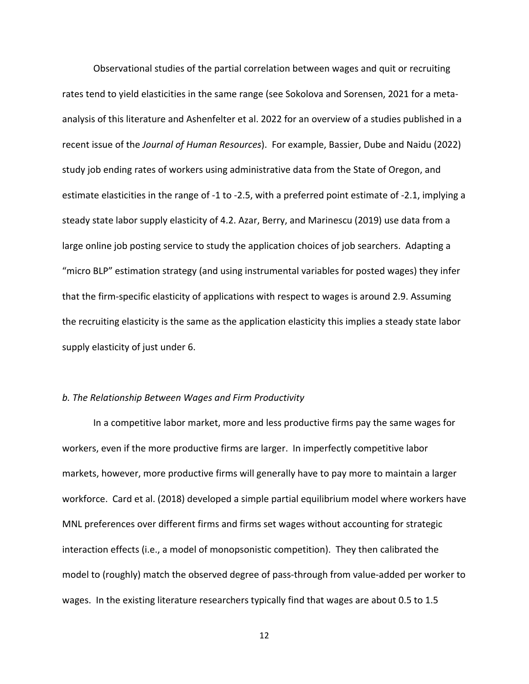Observational studies of the partial correlation between wages and quit or recruiting rates tend to yield elasticities in the same range (see Sokolova and Sorensen, 2021 for a meta‐ analysis of this literature and Ashenfelter et al. 2022 for an overview of a studies published in a recent issue of the *Journal of Human Resources*). For example, Bassier, Dube and Naidu (2022) study job ending rates of workers using administrative data from the State of Oregon, and estimate elasticities in the range of ‐1 to ‐2.5, with a preferred point estimate of ‐2.1, implying a steady state labor supply elasticity of 4.2. Azar, Berry, and Marinescu (2019) use data from a large online job posting service to study the application choices of job searchers. Adapting a "micro BLP" estimation strategy (and using instrumental variables for posted wages) they infer that the firm‐specific elasticity of applications with respect to wages is around 2.9. Assuming the recruiting elasticity is the same as the application elasticity this implies a steady state labor supply elasticity of just under 6.

### *b. The Relationship Between Wages and Firm Productivity*

In a competitive labor market, more and less productive firms pay the same wages for workers, even if the more productive firms are larger. In imperfectly competitive labor markets, however, more productive firms will generally have to pay more to maintain a larger workforce. Card et al. (2018) developed a simple partial equilibrium model where workers have MNL preferences over different firms and firms set wages without accounting for strategic interaction effects (i.e., a model of monopsonistic competition). They then calibrated the model to (roughly) match the observed degree of pass‐through from value‐added per worker to wages. In the existing literature researchers typically find that wages are about 0.5 to 1.5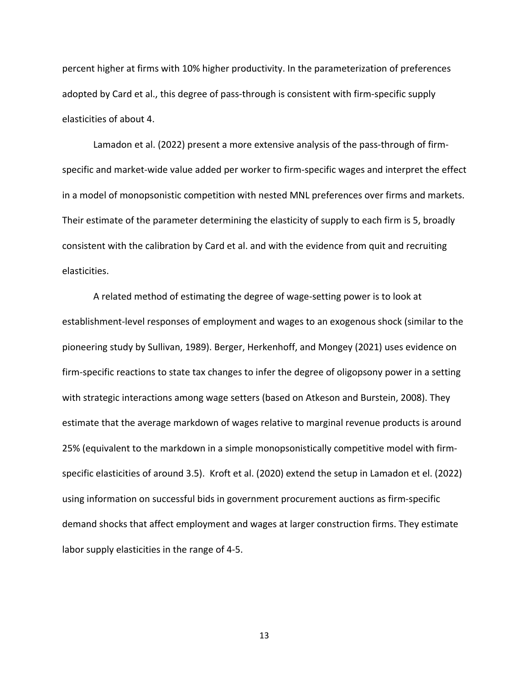percent higher at firms with 10% higher productivity. In the parameterization of preferences adopted by Card et al., this degree of pass-through is consistent with firm-specific supply elasticities of about 4.

Lamadon et al. (2022) present a more extensive analysis of the pass-through of firmspecific and market-wide value added per worker to firm-specific wages and interpret the effect in a model of monopsonistic competition with nested MNL preferences over firms and markets. Their estimate of the parameter determining the elasticity of supply to each firm is 5, broadly consistent with the calibration by Card et al. and with the evidence from quit and recruiting elasticities.

A related method of estimating the degree of wage‐setting power is to look at establishment‐level responses of employment and wages to an exogenous shock (similar to the pioneering study by Sullivan, 1989). Berger, Herkenhoff, and Mongey (2021) uses evidence on firm-specific reactions to state tax changes to infer the degree of oligopsony power in a setting with strategic interactions among wage setters (based on Atkeson and Burstein, 2008). They estimate that the average markdown of wages relative to marginal revenue products is around 25% (equivalent to the markdown in a simple monopsonistically competitive model with firm‐ specific elasticities of around 3.5). Kroft et al. (2020) extend the setup in Lamadon et el. (2022) using information on successful bids in government procurement auctions as firm‐specific demand shocks that affect employment and wages at larger construction firms. They estimate labor supply elasticities in the range of 4‐5.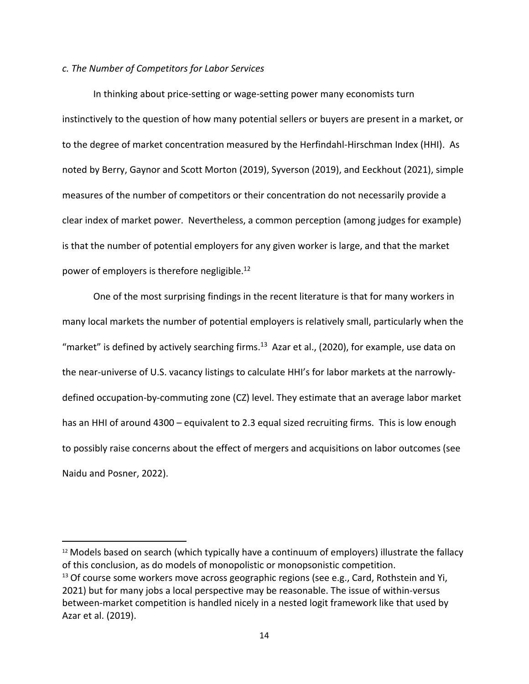# *c. The Number of Competitors for Labor Services*

In thinking about price‐setting or wage‐setting power many economists turn instinctively to the question of how many potential sellers or buyers are present in a market, or to the degree of market concentration measured by the Herfindahl-Hirschman Index (HHI). As noted by Berry, Gaynor and Scott Morton (2019), Syverson (2019), and Eeckhout (2021), simple measures of the number of competitors or their concentration do not necessarily provide a clear index of market power. Nevertheless, a common perception (among judges for example) is that the number of potential employers for any given worker is large, and that the market power of employers is therefore negligible.12

One of the most surprising findings in the recent literature is that for many workers in many local markets the number of potential employers is relatively small, particularly when the "market" is defined by actively searching firms.<sup>13</sup> Azar et al., (2020), for example, use data on the near-universe of U.S. vacancy listings to calculate HHI's for labor markets at the narrowlydefined occupation‐by‐commuting zone (CZ) level. They estimate that an average labor market has an HHI of around 4300 – equivalent to 2.3 equal sized recruiting firms. This is low enough to possibly raise concerns about the effect of mergers and acquisitions on labor outcomes (see Naidu and Posner, 2022).

<sup>12</sup> Models based on search (which typically have a continuum of employers) illustrate the fallacy of this conclusion, as do models of monopolistic or monopsonistic competition.

 $13$  Of course some workers move across geographic regions (see e.g., Card, Rothstein and Yi, 2021) but for many jobs a local perspective may be reasonable. The issue of within‐versus between-market competition is handled nicely in a nested logit framework like that used by Azar et al. (2019).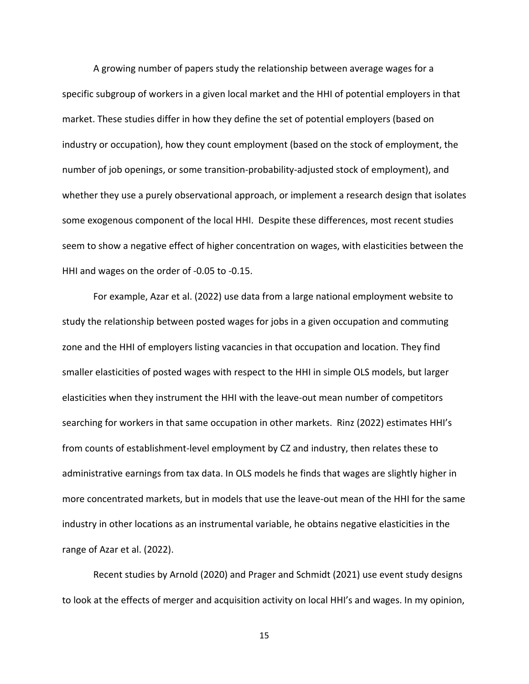A growing number of papers study the relationship between average wages for a specific subgroup of workers in a given local market and the HHI of potential employers in that market. These studies differ in how they define the set of potential employers (based on industry or occupation), how they count employment (based on the stock of employment, the number of job openings, or some transition‐probability‐adjusted stock of employment), and whether they use a purely observational approach, or implement a research design that isolates some exogenous component of the local HHI. Despite these differences, most recent studies seem to show a negative effect of higher concentration on wages, with elasticities between the HHI and wages on the order of ‐0.05 to ‐0.15.

For example, Azar et al. (2022) use data from a large national employment website to study the relationship between posted wages for jobs in a given occupation and commuting zone and the HHI of employers listing vacancies in that occupation and location. They find smaller elasticities of posted wages with respect to the HHI in simple OLS models, but larger elasticities when they instrument the HHI with the leave‐out mean number of competitors searching for workers in that same occupation in other markets. Rinz (2022) estimates HHI's from counts of establishment‐level employment by CZ and industry, then relates these to administrative earnings from tax data. In OLS models he finds that wages are slightly higher in more concentrated markets, but in models that use the leave‐out mean of the HHI for the same industry in other locations as an instrumental variable, he obtains negative elasticities in the range of Azar et al. (2022).

Recent studies by Arnold (2020) and Prager and Schmidt (2021) use event study designs to look at the effects of merger and acquisition activity on local HHI's and wages. In my opinion,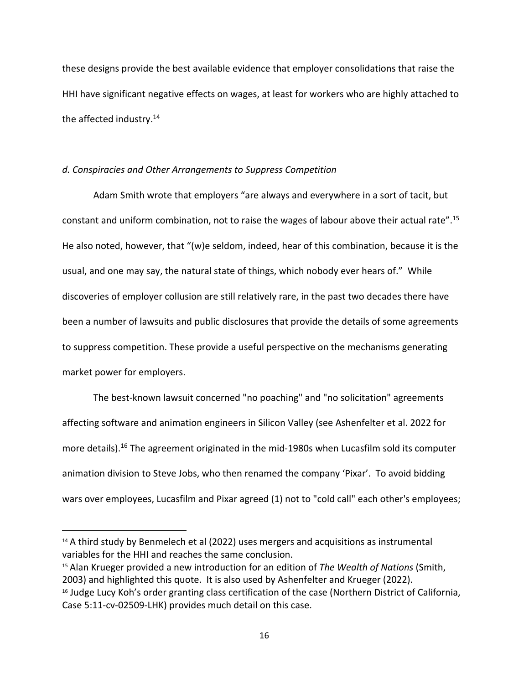these designs provide the best available evidence that employer consolidations that raise the HHI have significant negative effects on wages, at least for workers who are highly attached to the affected industry.<sup>14</sup>

### *d. Conspiracies and Other Arrangements to Suppress Competition*

Adam Smith wrote that employers "are always and everywhere in a sort of tacit, but constant and uniform combination, not to raise the wages of labour above their actual rate".15 He also noted, however, that "(w)e seldom, indeed, hear of this combination, because it is the usual, and one may say, the natural state of things, which nobody ever hears of." While discoveries of employer collusion are still relatively rare, in the past two decades there have been a number of lawsuits and public disclosures that provide the details of some agreements to suppress competition. These provide a useful perspective on the mechanisms generating market power for employers.

The best-known lawsuit concerned "no poaching" and "no solicitation" agreements affecting software and animation engineers in Silicon Valley (see Ashenfelter et al. 2022 for more details).<sup>16</sup> The agreement originated in the mid-1980s when Lucasfilm sold its computer animation division to Steve Jobs, who then renamed the company 'Pixar'. To avoid bidding wars over employees, Lucasfilm and Pixar agreed (1) not to "cold call" each other's employees;

 $14$  A third study by Benmelech et al (2022) uses mergers and acquisitions as instrumental variables for the HHI and reaches the same conclusion.

<sup>15</sup> Alan Krueger provided a new introduction for an edition of *The Wealth of Nations* (Smith, 2003) and highlighted this quote. It is also used by Ashenfelter and Krueger (2022). <sup>16</sup> Judge Lucy Koh's order granting class certification of the case (Northern District of California, Case 5:11‐cv‐02509‐LHK) provides much detail on this case.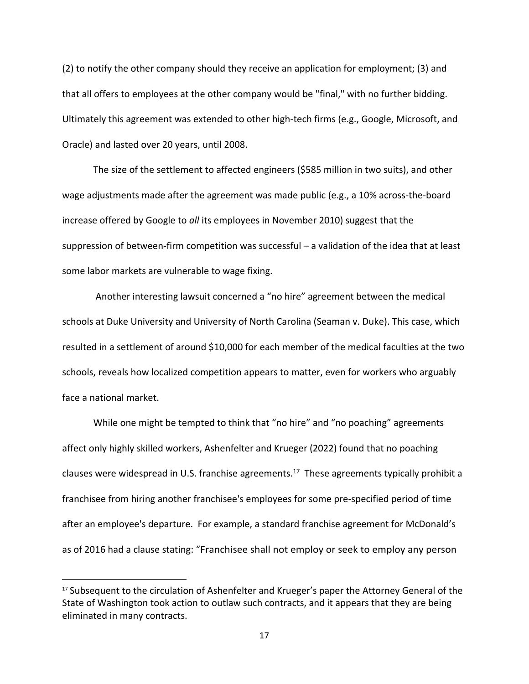(2) to notify the other company should they receive an application for employment; (3) and that all offers to employees at the other company would be "final," with no further bidding. Ultimately this agreement was extended to other high‐tech firms (e.g., Google, Microsoft, and Oracle) and lasted over 20 years, until 2008.

The size of the settlement to affected engineers (\$585 million in two suits), and other wage adjustments made after the agreement was made public (e.g., a 10% across-the-board increase offered by Google to *all* its employees in November 2010) suggest that the suppression of between‐firm competition was successful – a validation of the idea that at least some labor markets are vulnerable to wage fixing.

Another interesting lawsuit concerned a "no hire" agreement between the medical schools at Duke University and University of North Carolina (Seaman v. Duke). This case, which resulted in a settlement of around \$10,000 for each member of the medical faculties at the two schools, reveals how localized competition appears to matter, even for workers who arguably face a national market.

While one might be tempted to think that "no hire" and "no poaching" agreements affect only highly skilled workers, Ashenfelter and Krueger (2022) found that no poaching clauses were widespread in U.S. franchise agreements.<sup>17</sup> These agreements typically prohibit a franchisee from hiring another franchisee's employees for some pre‐specified period of time after an employee's departure. For example, a standard franchise agreement for McDonald's as of 2016 had a clause stating: "Franchisee shall not employ or seek to employ any person

<sup>&</sup>lt;sup>17</sup> Subsequent to the circulation of Ashenfelter and Krueger's paper the Attorney General of the State of Washington took action to outlaw such contracts, and it appears that they are being eliminated in many contracts.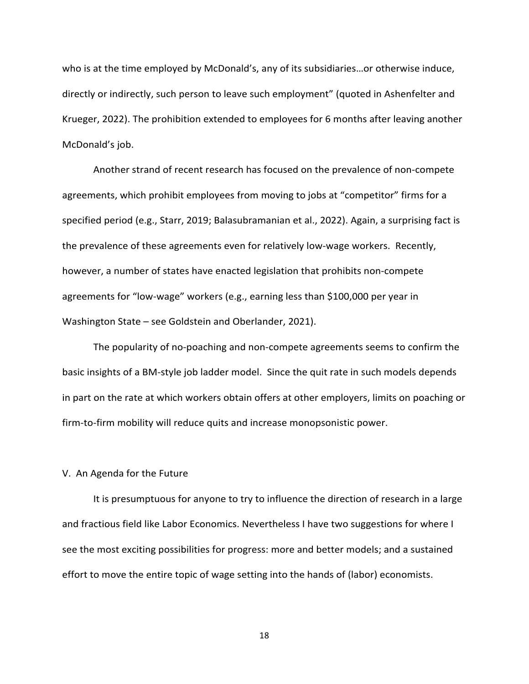who is at the time employed by McDonald's, any of its subsidiaries…or otherwise induce, directly or indirectly, such person to leave such employment" (quoted in Ashenfelter and Krueger, 2022). The prohibition extended to employees for 6 months after leaving another McDonald's job.

Another strand of recent research has focused on the prevalence of non‐compete agreements, which prohibit employees from moving to jobs at "competitor" firms for a specified period (e.g., Starr, 2019; Balasubramanian et al., 2022). Again, a surprising fact is the prevalence of these agreements even for relatively low-wage workers. Recently, however, a number of states have enacted legislation that prohibits non‐compete agreements for "low‐wage" workers (e.g., earning less than \$100,000 per year in Washington State – see Goldstein and Oberlander, 2021).

The popularity of no‐poaching and non‐compete agreements seems to confirm the basic insights of a BM‐style job ladder model. Since the quit rate in such models depends in part on the rate at which workers obtain offers at other employers, limits on poaching or firm-to-firm mobility will reduce quits and increase monopsonistic power.

### V. An Agenda for the Future

It is presumptuous for anyone to try to influence the direction of research in a large and fractious field like Labor Economics. Nevertheless I have two suggestions for where I see the most exciting possibilities for progress: more and better models; and a sustained effort to move the entire topic of wage setting into the hands of (labor) economists.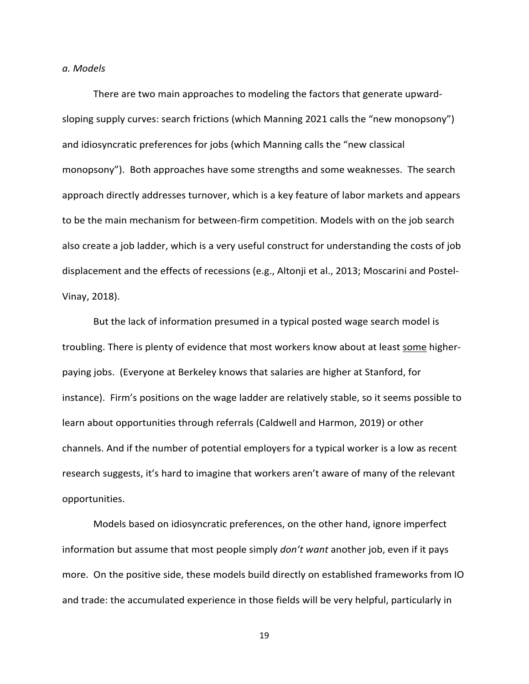#### *a. Models*

There are two main approaches to modeling the factors that generate upward‐ sloping supply curves: search frictions (which Manning 2021 calls the "new monopsony") and idiosyncratic preferences for jobs (which Manning calls the "new classical monopsony"). Both approaches have some strengths and some weaknesses. The search approach directly addresses turnover, which is a key feature of labor markets and appears to be the main mechanism for between‐firm competition. Models with on the job search also create a job ladder, which is a very useful construct for understanding the costs of job displacement and the effects of recessions (e.g., Altonji et al., 2013; Moscarini and Postel‐ Vinay, 2018).

But the lack of information presumed in a typical posted wage search model is troubling. There is plenty of evidence that most workers know about at least some higher‐ paying jobs. (Everyone at Berkeley knows that salaries are higher at Stanford, for instance). Firm's positions on the wage ladder are relatively stable, so it seems possible to learn about opportunities through referrals (Caldwell and Harmon, 2019) or other channels. And if the number of potential employers for a typical worker is a low as recent research suggests, it's hard to imagine that workers aren't aware of many of the relevant opportunities.

Models based on idiosyncratic preferences, on the other hand, ignore imperfect information but assume that most people simply *don't want* another job, even if it pays more. On the positive side, these models build directly on established frameworks from IO and trade: the accumulated experience in those fields will be very helpful, particularly in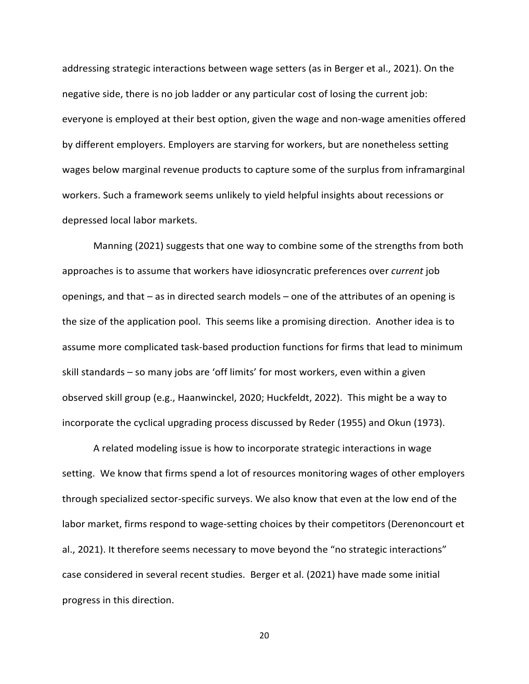addressing strategic interactions between wage setters (as in Berger et al., 2021). On the negative side, there is no job ladder or any particular cost of losing the current job: everyone is employed at their best option, given the wage and non‐wage amenities offered by different employers. Employers are starving for workers, but are nonetheless setting wages below marginal revenue products to capture some of the surplus from inframarginal workers. Such a framework seems unlikely to yield helpful insights about recessions or depressed local labor markets.

Manning (2021) suggests that one way to combine some of the strengths from both approaches is to assume that workers have idiosyncratic preferences over *current* job openings, and that – as in directed search models – one of the attributes of an opening is the size of the application pool. This seems like a promising direction. Another idea is to assume more complicated task‐based production functions for firms that lead to minimum skill standards – so many jobs are 'off limits' for most workers, even within a given observed skill group (e.g., Haanwinckel, 2020; Huckfeldt, 2022). This might be a way to incorporate the cyclical upgrading process discussed by Reder (1955) and Okun (1973).

A related modeling issue is how to incorporate strategic interactions in wage setting. We know that firms spend a lot of resources monitoring wages of other employers through specialized sector‐specific surveys. We also know that even at the low end of the labor market, firms respond to wage-setting choices by their competitors (Derenoncourt et al., 2021). It therefore seems necessary to move beyond the "no strategic interactions" case considered in several recent studies. Berger et al. (2021) have made some initial progress in this direction.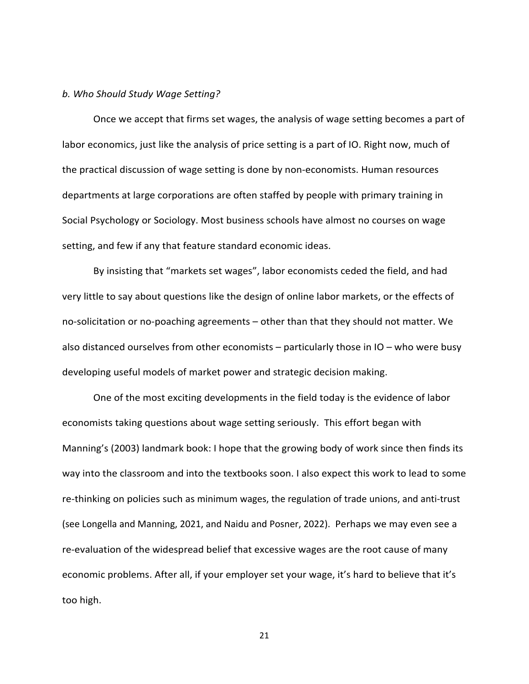#### *b. Who Should Study Wage Setting?*

Once we accept that firms set wages, the analysis of wage setting becomes a part of labor economics, just like the analysis of price setting is a part of IO. Right now, much of the practical discussion of wage setting is done by non‐economists. Human resources departments at large corporations are often staffed by people with primary training in Social Psychology or Sociology. Most business schools have almost no courses on wage setting, and few if any that feature standard economic ideas.

By insisting that "markets set wages", labor economists ceded the field, and had very little to say about questions like the design of online labor markets, or the effects of no-solicitation or no-poaching agreements – other than that they should not matter. We also distanced ourselves from other economists – particularly those in IO – who were busy developing useful models of market power and strategic decision making.

One of the most exciting developments in the field today is the evidence of labor economists taking questions about wage setting seriously. This effort began with Manning's (2003) landmark book: I hope that the growing body of work since then finds its way into the classroom and into the textbooks soon. I also expect this work to lead to some re-thinking on policies such as minimum wages, the regulation of trade unions, and anti-trust (see Longella and Manning, 2021, and Naidu and Posner, 2022). Perhaps we may even see a re-evaluation of the widespread belief that excessive wages are the root cause of many economic problems. After all, if your employer set your wage, it's hard to believe that it's too high.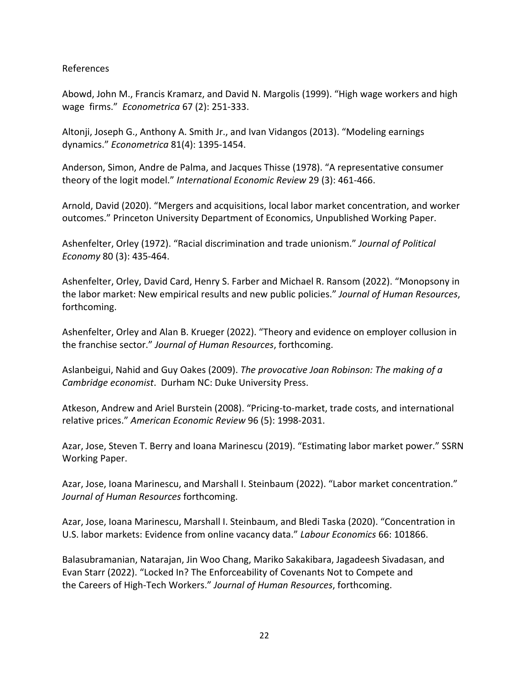# References

Abowd, John M., Francis Kramarz, and David N. Margolis (1999). "High wage workers and high wage firms." *Econometrica* 67 (2): 251‐333.

Altonji, Joseph G., Anthony A. Smith Jr., and Ivan Vidangos (2013). "Modeling earnings dynamics." *Econometrica* 81(4): 1395‐1454.

Anderson, Simon, Andre de Palma, and Jacques Thisse (1978). "A representative consumer theory of the logit model." *International Economic Review* 29 (3): 461‐466.

Arnold, David (2020). "Mergers and acquisitions, local labor market concentration, and worker outcomes." Princeton University Department of Economics, Unpublished Working Paper.

Ashenfelter, Orley (1972). "Racial discrimination and trade unionism." *Journal of Political Economy* 80 (3): 435‐464.

Ashenfelter, Orley, David Card, Henry S. Farber and Michael R. Ransom (2022). "Monopsony in the labor market: New empirical results and new public policies." *Journal of Human Resources*, forthcoming.

Ashenfelter, Orley and Alan B. Krueger (2022). "Theory and evidence on employer collusion in the franchise sector." *Journal of Human Resources*, forthcoming.

Aslanbeigui, Nahid and Guy Oakes (2009). *The provocative Joan Robinson: The making of a Cambridge economist*. Durham NC: Duke University Press.

Atkeson, Andrew and Ariel Burstein (2008). "Pricing‐to‐market, trade costs, and international relative prices." *American Economic Review* 96 (5): 1998‐2031.

Azar, Jose, Steven T. Berry and Ioana Marinescu (2019). "Estimating labor market power." SSRN Working Paper.

Azar, Jose, Ioana Marinescu, and Marshall I. Steinbaum (2022). "Labor market concentration." *Journal of Human Resources* forthcoming.

Azar, Jose, Ioana Marinescu, Marshall I. Steinbaum, and Bledi Taska (2020). "Concentration in U.S. labor markets: Evidence from online vacancy data." *Labour Economics* 66: 101866.

Balasubramanian, Natarajan, Jin Woo Chang, Mariko Sakakibara, Jagadeesh Sivadasan, and Evan Starr (2022). "Locked In? The Enforceability of Covenants Not to Compete and the Careers of High‐Tech Workers." *Journal of Human Resources*, forthcoming.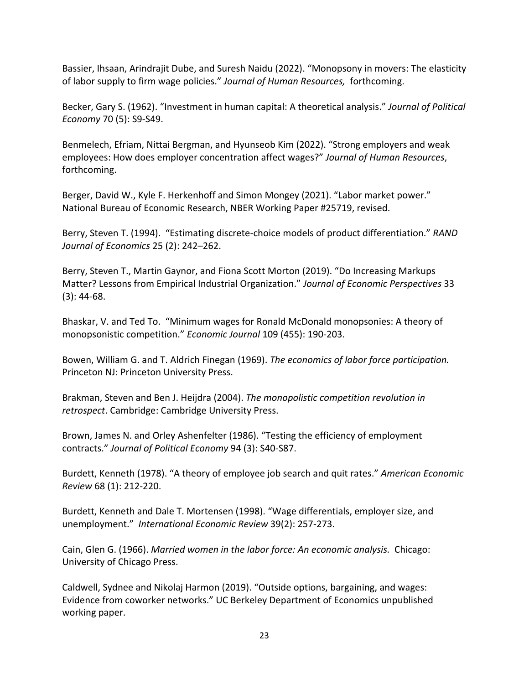Bassier, Ihsaan, Arindrajit Dube, and Suresh Naidu (2022). "Monopsony in movers: The elasticity of labor supply to firm wage policies." *Journal of Human Resources,* forthcoming.

Becker, Gary S. (1962). "Investment in human capital: A theoretical analysis." *Journal of Political Economy* 70 (5): S9‐S49.

Benmelech, Efriam, Nittai Bergman, and Hyunseob Kim (2022). "Strong employers and weak employees: How does employer concentration affect wages?" *Journal of Human Resources*, forthcoming.

Berger, David W., Kyle F. Herkenhoff and Simon Mongey (2021). "Labor market power." National Bureau of Economic Research, NBER Working Paper #25719, revised.

Berry, Steven T. (1994). "Estimating discrete‐choice models of product differentiation." *RAND Journal of Economics* 25 (2): 242–262.

Berry, Steven T., Martin Gaynor, and Fiona Scott Morton (2019). "Do Increasing Markups Matter? Lessons from Empirical Industrial Organization." *Journal of Economic Perspectives* 33 (3): 44‐68.

Bhaskar, V. and Ted To. "Minimum wages for Ronald McDonald monopsonies: A theory of monopsonistic competition." *Economic Journal* 109 (455): 190‐203.

Bowen, William G. and T. Aldrich Finegan (1969). *The economics of labor force participation.* Princeton NJ: Princeton University Press.

Brakman, Steven and Ben J. Heijdra (2004). *The monopolistic competition revolution in retrospect*. Cambridge: Cambridge University Press.

Brown, James N. and Orley Ashenfelter (1986). "Testing the efficiency of employment contracts." *Journal of Political Economy* 94 (3): S40‐S87.

Burdett, Kenneth (1978). "A theory of employee job search and quit rates." *American Economic Review* 68 (1): 212‐220.

Burdett, Kenneth and Dale T. Mortensen (1998). "Wage differentials, employer size, and unemployment." *International Economic Review* 39(2): 257‐273.

Cain, Glen G. (1966). *Married women in the labor force: An economic analysis.* Chicago: University of Chicago Press.

Caldwell, Sydnee and Nikolaj Harmon (2019). "Outside options, bargaining, and wages: Evidence from coworker networks." UC Berkeley Department of Economics unpublished working paper.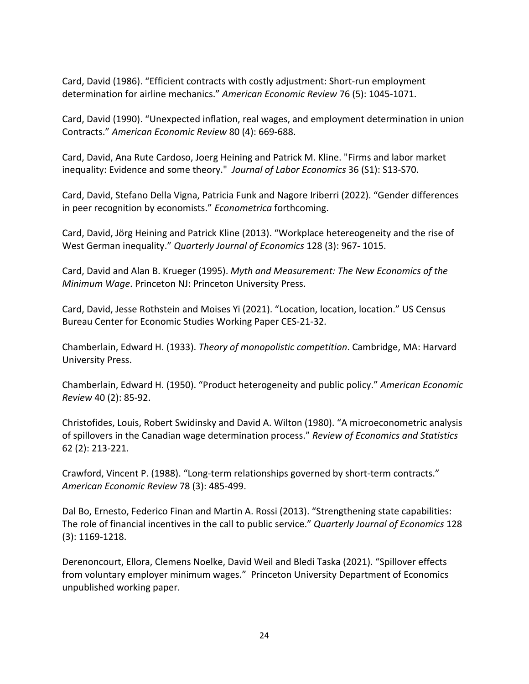Card, David (1986). "Efficient contracts with costly adjustment: Short‐run employment determination for airline mechanics." *American Economic Review* 76 (5): 1045‐1071.

Card, David (1990). "Unexpected inflation, real wages, and employment determination in union Contracts." *American Economic Review* 80 (4): 669‐688.

Card, David, Ana Rute Cardoso, Joerg Heining and Patrick M. Kline. "Firms and labor market inequality: Evidence and some theory." *Journal of Labor Economics* 36 (S1): S13‐S70.

Card, David, Stefano Della Vigna, Patricia Funk and Nagore Iriberri (2022). "Gender differences in peer recognition by economists." *Econometrica* forthcoming.

Card, David, Jörg Heining and Patrick Kline (2013). "Workplace hetereogeneity and the rise of West German inequality." *Quarterly Journal of Economics* 128 (3): 967‐ 1015.

Card, David and Alan B. Krueger (1995). *Myth and Measurement: The New Economics of the Minimum Wage*. Princeton NJ: Princeton University Press.

Card, David, Jesse Rothstein and Moises Yi (2021). "Location, location, location." US Census Bureau Center for Economic Studies Working Paper CES‐21‐32.

Chamberlain, Edward H. (1933). *Theory of monopolistic competition*. Cambridge, MA: Harvard University Press.

Chamberlain, Edward H. (1950). "Product heterogeneity and public policy." *American Economic Review* 40 (2): 85‐92.

Christofides, Louis, Robert Swidinsky and David A. Wilton (1980). "A microeconometric analysis of spillovers in the Canadian wage determination process." *Review of Economics and Statistics* 62 (2): 213‐221.

Crawford, Vincent P. (1988). "Long‐term relationships governed by short‐term contracts." *American Economic Review* 78 (3): 485‐499.

Dal Bo, Ernesto, Federico Finan and Martin A. Rossi (2013). "Strengthening state capabilities: The role of financial incentives in the call to public service." *Quarterly Journal of Economics* 128 (3): 1169‐1218.

Derenoncourt, Ellora, Clemens Noelke, David Weil and Bledi Taska (2021). "Spillover effects from voluntary employer minimum wages." Princeton University Department of Economics unpublished working paper.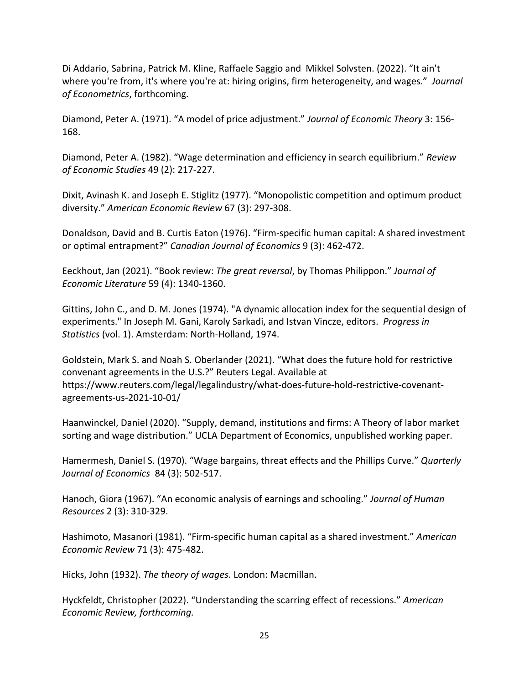Di Addario, Sabrina, Patrick M. Kline, Raffaele Saggio and Mikkel Solvsten. (2022). "It ain't where you're from, it's where you're at: hiring origins, firm heterogeneity, and wages." *Journal of Econometrics*, forthcoming.

Diamond, Peter A. (1971). "A model of price adjustment." *Journal of Economic Theory* 3: 156‐ 168.

Diamond, Peter A. (1982). "Wage determination and efficiency in search equilibrium." *Review of Economic Studies* 49 (2): 217‐227.

Dixit, Avinash K. and Joseph E. Stiglitz (1977). "Monopolistic competition and optimum product diversity." *American Economic Review* 67 (3): 297‐308.

Donaldson, David and B. Curtis Eaton (1976). "Firm‐specific human capital: A shared investment or optimal entrapment?" *Canadian Journal of Economics* 9 (3): 462‐472.

Eeckhout, Jan (2021). "Book review: *The great reversal*, by Thomas Philippon." *Journal of Economic Literature* 59 (4): 1340‐1360.

Gittins, John C., and D. M. Jones (1974). "A dynamic allocation index for the sequential design of experiments." In Joseph M. Gani, Karoly Sarkadi, and Istvan Vincze, editors. *Progress in Statistics* (vol. 1). Amsterdam: North‐Holland, 1974.

Goldstein, Mark S. and Noah S. Oberlander (2021). "What does the future hold for restrictive convenant agreements in the U.S.?" Reuters Legal. Available at https://www.reuters.com/legal/legalindustry/what‐does‐future‐hold‐restrictive‐covenant‐ agreements‐us‐2021‐10‐01/

Haanwinckel, Daniel (2020). "Supply, demand, institutions and firms: A Theory of labor market sorting and wage distribution." UCLA Department of Economics, unpublished working paper.

Hamermesh, Daniel S. (1970). "Wage bargains, threat effects and the Phillips Curve." *Quarterly Journal of Economics* 84 (3): 502‐517.

Hanoch, Giora (1967). "An economic analysis of earnings and schooling." *Journal of Human Resources* 2 (3): 310‐329.

Hashimoto, Masanori (1981). "Firm‐specific human capital as a shared investment." *American Economic Review* 71 (3): 475‐482.

Hicks, John (1932). *The theory of wages*. London: Macmillan.

Hyckfeldt, Christopher (2022). "Understanding the scarring effect of recessions." *American Economic Review, forthcoming.*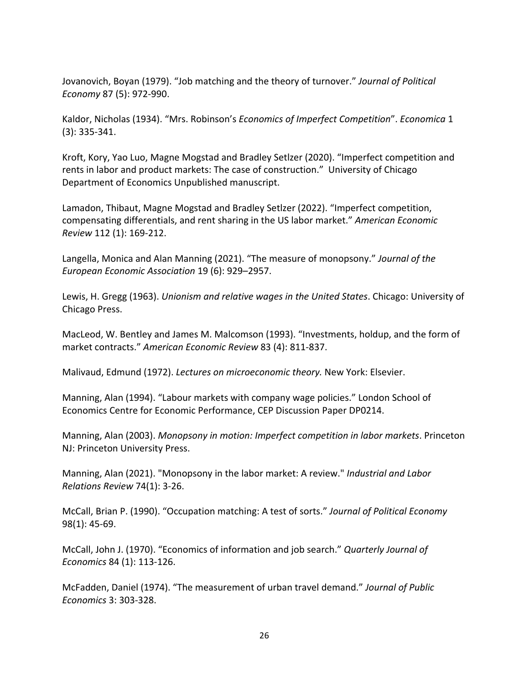Jovanovich, Boyan (1979). "Job matching and the theory of turnover." *Journal of Political Economy* 87 (5): 972‐990.

Kaldor, Nicholas (1934). "Mrs. Robinson's *Economics of Imperfect Competition*". *Economica* 1 (3): 335‐341.

Kroft, Kory, Yao Luo, Magne Mogstad and Bradley Setlzer (2020). "Imperfect competition and rents in labor and product markets: The case of construction." University of Chicago Department of Economics Unpublished manuscript.

Lamadon, Thibaut, Magne Mogstad and Bradley Setlzer (2022). "Imperfect competition, compensating differentials, and rent sharing in the US labor market." *American Economic Review* 112 (1): 169‐212.

Langella, Monica and Alan Manning (2021). "The measure of monopsony." *Journal of the European Economic Association* 19 (6): 929–2957.

Lewis, H. Gregg (1963). *Unionism and relative wages in the United States*. Chicago: University of Chicago Press.

MacLeod, W. Bentley and James M. Malcomson (1993). "Investments, holdup, and the form of market contracts." *American Economic Review* 83 (4): 811‐837.

Malivaud, Edmund (1972). *Lectures on microeconomic theory.* New York: Elsevier.

Manning, Alan (1994). "Labour markets with company wage policies." London School of Economics Centre for Economic Performance, CEP Discussion Paper DP0214.

Manning, Alan (2003). *Monopsony in motion: Imperfect competition in labor markets*. Princeton NJ: Princeton University Press.

Manning, Alan (2021). "Monopsony in the labor market: A review." *Industrial and Labor Relations Review* 74(1): 3‐26.

McCall, Brian P. (1990). "Occupation matching: A test of sorts." *Journal of Political Economy* 98(1): 45‐69.

McCall, John J. (1970). "Economics of information and job search." *Quarterly Journal of Economics* 84 (1): 113‐126.

McFadden, Daniel (1974). "The measurement of urban travel demand." *Journal of Public Economics* 3: 303‐328.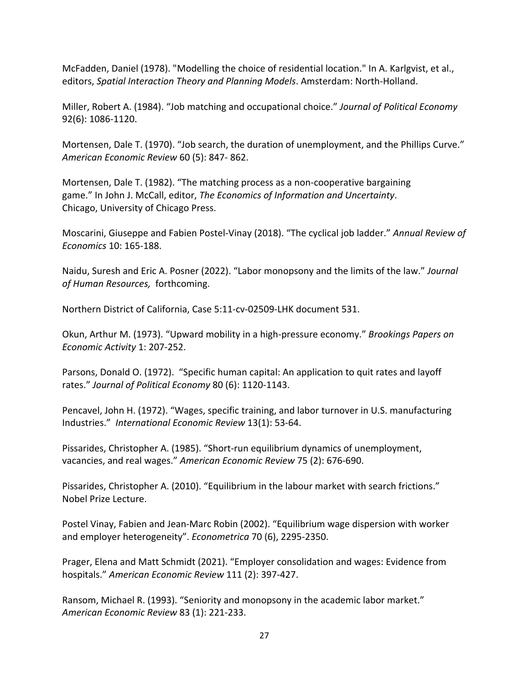McFadden, Daniel (1978). "Modelling the choice of residential location." In A. Karlgvist, et al., editors, *Spatial Interaction Theory and Planning Models*. Amsterdam: North‐Holland.

Miller, Robert A. (1984). "Job matching and occupational choice." *Journal of Political Economy* 92(6): 1086‐1120.

Mortensen, Dale T. (1970). "Job search, the duration of unemployment, and the Phillips Curve." *American Economic Review* 60 (5): 847‐ 862.

Mortensen, Dale T. (1982). "The matching process as a non‐cooperative bargaining game." In John J. McCall, editor, *The Economics of Information and Uncertainty*. Chicago, University of Chicago Press.

Moscarini, Giuseppe and Fabien Postel‐Vinay (2018). "The cyclical job ladder." *Annual Review of Economics* 10: 165‐188.

Naidu, Suresh and Eric A. Posner (2022). "Labor monopsony and the limits of the law." *Journal of Human Resources,* forthcoming.

Northern District of California, Case 5:11‐cv‐02509‐LHK document 531.

Okun, Arthur M. (1973). "Upward mobility in a high‐pressure economy." *Brookings Papers on Economic Activity* 1: 207‐252.

Parsons, Donald O. (1972). "Specific human capital: An application to quit rates and layoff rates." *Journal of Political Economy* 80 (6): 1120‐1143.

Pencavel, John H. (1972). "Wages, specific training, and labor turnover in U.S. manufacturing Industries." *International Economic Review* 13(1): 53‐64.

Pissarides, Christopher A. (1985). "Short‐run equilibrium dynamics of unemployment, vacancies, and real wages." *American Economic Review* 75 (2): 676‐690.

Pissarides, Christopher A. (2010). "Equilibrium in the labour market with search frictions." Nobel Prize Lecture.

Postel Vinay, Fabien and Jean‐Marc Robin (2002). "Equilibrium wage dispersion with worker and employer heterogeneity". *Econometrica* 70 (6), 2295‐2350.

Prager, Elena and Matt Schmidt (2021). "Employer consolidation and wages: Evidence from hospitals." *American Economic Review* 111 (2): 397‐427.

Ransom, Michael R. (1993). "Seniority and monopsony in the academic labor market." *American Economic Review* 83 (1): 221‐233.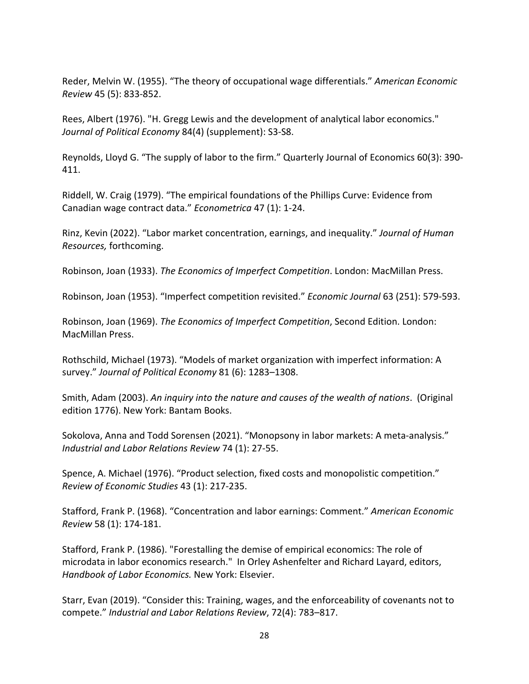Reder, Melvin W. (1955). "The theory of occupational wage differentials." *American Economic Review* 45 (5): 833‐852.

Rees, Albert (1976). "H. Gregg Lewis and the development of analytical labor economics." *Journal of Political Economy* 84(4) (supplement): S3‐S8.

Reynolds, Lloyd G. "The supply of labor to the firm." Quarterly Journal of Economics 60(3): 390‐ 411.

Riddell, W. Craig (1979). "The empirical foundations of the Phillips Curve: Evidence from Canadian wage contract data." *Econometrica* 47 (1): 1‐24.

Rinz, Kevin (2022). "Labor market concentration, earnings, and inequality." *Journal of Human Resources,* forthcoming.

Robinson, Joan (1933). *The Economics of Imperfect Competition*. London: MacMillan Press.

Robinson, Joan (1953). "Imperfect competition revisited." *Economic Journal* 63 (251): 579‐593.

Robinson, Joan (1969). *The Economics of Imperfect Competition*, Second Edition. London: MacMillan Press.

Rothschild, Michael (1973). "Models of market organization with imperfect information: A survey." *Journal of Political Economy* 81 (6): 1283–1308.

Smith, Adam (2003). *An inquiry into the nature and causes of the wealth of nations*. (Original edition 1776). New York: Bantam Books.

Sokolova, Anna and Todd Sorensen (2021). "Monopsony in labor markets: A meta‐analysis." *Industrial and Labor Relations Review* 74 (1): 27‐55.

Spence, A. Michael (1976). "Product selection, fixed costs and monopolistic competition." *Review of Economic Studies* 43 (1): 217‐235.

Stafford, Frank P. (1968). "Concentration and labor earnings: Comment." *American Economic Review* 58 (1): 174‐181.

Stafford, Frank P. (1986). "Forestalling the demise of empirical economics: The role of microdata in labor economics research." In Orley Ashenfelter and Richard Layard, editors, *Handbook of Labor Economics.* New York: Elsevier.

Starr, Evan (2019). "Consider this: Training, wages, and the enforceability of covenants not to compete." *Industrial and Labor Relations Review*, 72(4): 783–817.